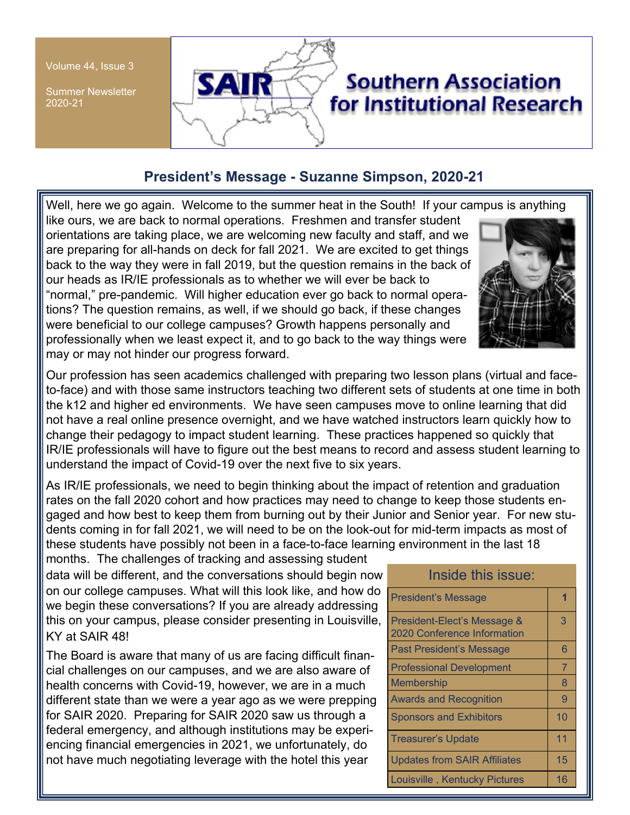Volume 44, Issue 3

Summer Newsletter 2020-21



# **President's Message - Suzanne Simpson, 2020-21**

Well, here we go again. Welcome to the summer heat in the South! If your campus is anything

like ours, we are back to normal operations. Freshmen and transfer student orientations are taking place, we are welcoming new faculty and staff, and we are preparing for all-hands on deck for fall 2021. We are excited to get things back to the way they were in fall 2019, but the question remains in the back of our heads as IR/IE professionals as to whether we will ever be back to "normal," pre-pandemic. Will higher education ever go back to normal operations? The question remains, as well, if we should go back, if these changes were beneficial to our college campuses? Growth happens personally and professionally when we least expect it, and to go back to the way things were may or may not hinder our progress forward.



Our profession has seen academics challenged with preparing two lesson plans (virtual and faceto-face) and with those same instructors teaching two different sets of students at one time in both the k12 and higher ed environments. We have seen campuses move to online learning that did not have a real online presence overnight, and we have watched instructors learn quickly how to change their pedagogy to impact student learning. These practices happened so quickly that IR/IE professionals will have to figure out the best means to record and assess student learning to understand the impact of Covid-19 over the next five to six years.

As IR/IE professionals, we need to begin thinking about the impact of retention and graduation rates on the fall 2020 cohort and how practices may need to change to keep those students engaged and how best to keep them from burning out by their Junior and Senior year. For new students coming in for fall 2021, we will need to be on the look-out for mid-term impacts as most of these students have possibly not been in a face-to-face learning environment in the last 18

months. The challenges of tracking and assessing student data will be different, and the conversations should begin now on our college campuses. What will this look like, and how do we begin these conversations? If you are already addressing this on your campus, please consider presenting in Louisville, KY at SAIR 48!

The Board is aware that many of us are facing difficult financial challenges on our campuses, and we are also aware of health concerns with Covid-19, however, we are in a much different state than we were a year ago as we were prepping for SAIR 2020. Preparing for SAIR 2020 saw us through a federal emergency, and although institutions may be experiencing financial emergencies in 2021, we unfortunately, do not have much negotiating leverage with the hotel this year

| Inside this issue:                                         |                |
|------------------------------------------------------------|----------------|
| <b>President's Message</b>                                 |                |
| President-Elect's Message &<br>2020 Conference Information | 3              |
| <b>Past President's Message</b>                            | 6              |
| <b>Professional Development</b>                            | $\overline{7}$ |
| <b>Membership</b>                                          | 8              |
| <b>Awards and Recognition</b>                              | 9              |
| <b>Sponsors and Exhibitors</b>                             | 10             |
| <b>Treasurer's Update</b>                                  | 11             |
| <b>Updates from SAIR Affiliates</b>                        | 15             |
| Louisville, Kentucky Pictures                              | 16             |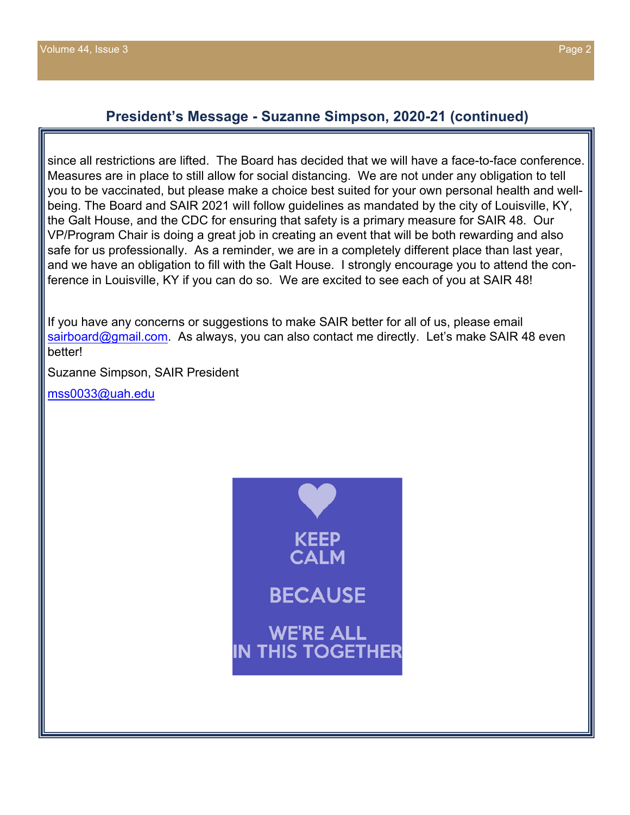since all restrictions are lifted. The Board has decided that we will have a face-to-face conference. Measures are in place to still allow for social distancing. We are not under any obligation to tell you to be vaccinated, but please make a choice best suited for your own personal health and wellbeing. The Board and SAIR 2021 will follow guidelines as mandated by the city of Louisville, KY, the Galt House, and the CDC for ensuring that safety is a primary measure for SAIR 48. Our VP/Program Chair is doing a great job in creating an event that will be both rewarding and also safe for us professionally. As a reminder, we are in a completely different place than last year, and we have an obligation to fill with the Galt House. I strongly encourage you to attend the conference in Louisville, KY if you can do so. We are excited to see each of you at SAIR 48!

If you have any concerns or suggestions to make SAIR better for all of us, please email sairboard@gmail.com. As always, you can also contact me directly. Let's make SAIR 48 even better!

Suzanne Simpson, SAIR President

mss0033@uah.edu

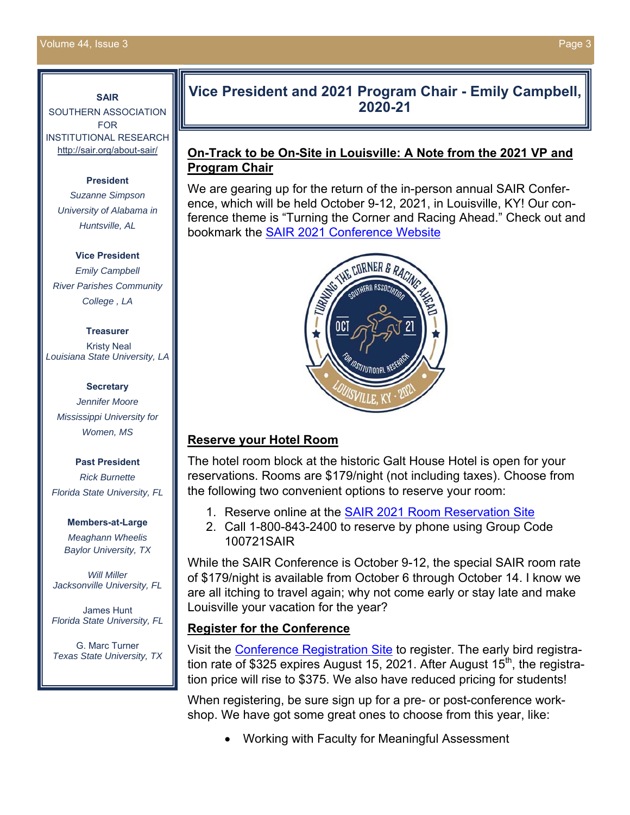#### **SAIR**

SOUTHERN ASSOCIATION FOR INSTITUTIONAL RESEARCH http://sair.org/about-sair/

#### **President**

*Suzanne Simpson University of Alabama in Huntsville, AL* 

**Vice President**  *Emily Campbell River Parishes Community College , LA* 

#### **Treasurer**

 Kristy Neal *Louisiana State University, LA* 

#### **Secretary**

*Jennifer Moore Mississippi University for Women, MS* 

#### **Past President**

*Rick Burnette Florida State University, FL* 

#### **Members-at-Large**

*Meaghann Wheelis Baylor University, TX* 

*Will Miller Jacksonville University, FL*

James Hunt *Florida State University, FL* 

G. Marc Turner *Texas State University, TX* 

## **Vice President and 2021 Program Chair - Emily Campbell, 2020-21**

### **On-Track to be On-Site in Louisville: A Note from the 2021 VP and Program Chair**

We are gearing up for the return of the in-person annual SAIR Conference, which will be held October 9-12, 2021, in Louisville, KY! Our conference theme is "Turning the Corner and Racing Ahead." Check out and bookmark the SAIR 2021 Conference Website



## **Reserve your Hotel Room**

The hotel room block at the historic Galt House Hotel is open for your reservations. Rooms are \$179/night (not including taxes). Choose from the following two convenient options to reserve your room:

- 1. Reserve online at the SAIR 2021 Room Reservation Site
- 2. Call 1-800-843-2400 to reserve by phone using Group Code 100721SAIR

While the SAIR Conference is October 9-12, the special SAIR room rate of \$179/night is available from October 6 through October 14. I know we are all itching to travel again; why not come early or stay late and make Louisville your vacation for the year?

## **Register for the Conference**

Visit the Conference Registration Site to register. The early bird registration rate of \$325 expires August 15, 2021. After August  $15<sup>th</sup>$ , the registration price will rise to \$375. We also have reduced pricing for students!

When registering, be sure sign up for a pre- or post-conference workshop. We have got some great ones to choose from this year, like:

Working with Faculty for Meaningful Assessment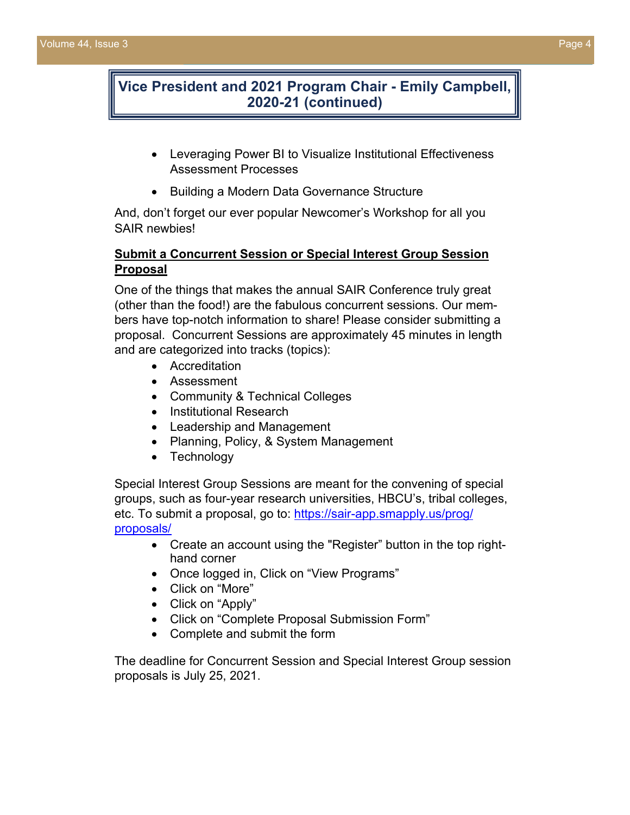## **Vice President and 2021 Program Chair - Emily Campbell, 2020-21 (continued)**

- Leveraging Power BI to Visualize Institutional Effectiveness Assessment Processes
- Building a Modern Data Governance Structure

And, don't forget our ever popular Newcomer's Workshop for all you SAIR newbies!

### **Submit a Concurrent Session or Special Interest Group Session Proposal**

One of the things that makes the annual SAIR Conference truly great (other than the food!) are the fabulous concurrent sessions. Our members have top-notch information to share! Please consider submitting a proposal. Concurrent Sessions are approximately 45 minutes in length and are categorized into tracks (topics):

- **•** Accreditation
- Assessment
- Community & Technical Colleges
- Institutional Research
- Leadership and Management
- Planning, Policy, & System Management
- Technology

Special Interest Group Sessions are meant for the convening of special groups, such as four-year research universities, HBCU's, tribal colleges, etc. To submit a proposal, go to: https://sair-app.smapply.us/prog/ proposals/

- Create an account using the "Register" button in the top righthand corner
- Once logged in, Click on "View Programs"
- Click on "More"
- Click on "Apply"
- Click on "Complete Proposal Submission Form"
- Complete and submit the form

The deadline for Concurrent Session and Special Interest Group session proposals is July 25, 2021.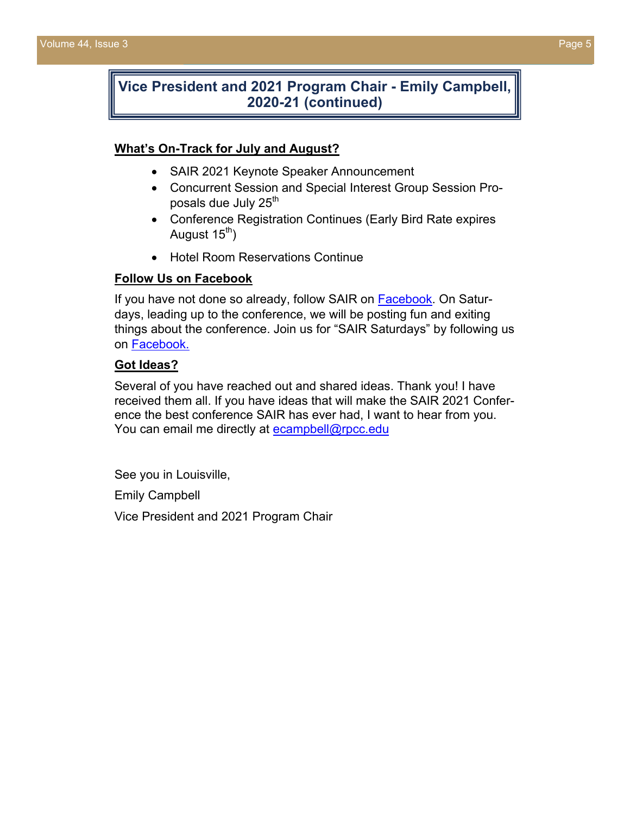## **Vice President and 2021 Program Chair - Emily Campbell, 2020-21 (continued)**

#### **What's On-Track for July and August?**

- SAIR 2021 Keynote Speaker Announcement
- Concurrent Session and Special Interest Group Session Proposals due July 25<sup>th</sup>
- Conference Registration Continues (Early Bird Rate expires August  $15<sup>th</sup>$ )
- Hotel Room Reservations Continue

#### **Follow Us on Facebook**

If you have not done so already, follow SAIR on **Facebook**. On Saturdays, leading up to the conference, we will be posting fun and exiting things about the conference. Join us for "SAIR Saturdays" by following us on Facebook.

#### **Got Ideas?**

Several of you have reached out and shared ideas. Thank you! I have received them all. If you have ideas that will make the SAIR 2021 Conference the best conference SAIR has ever had, I want to hear from you. You can email me directly at ecampbell@rpcc.edu

See you in Louisville,

Emily Campbell

Vice President and 2021 Program Chair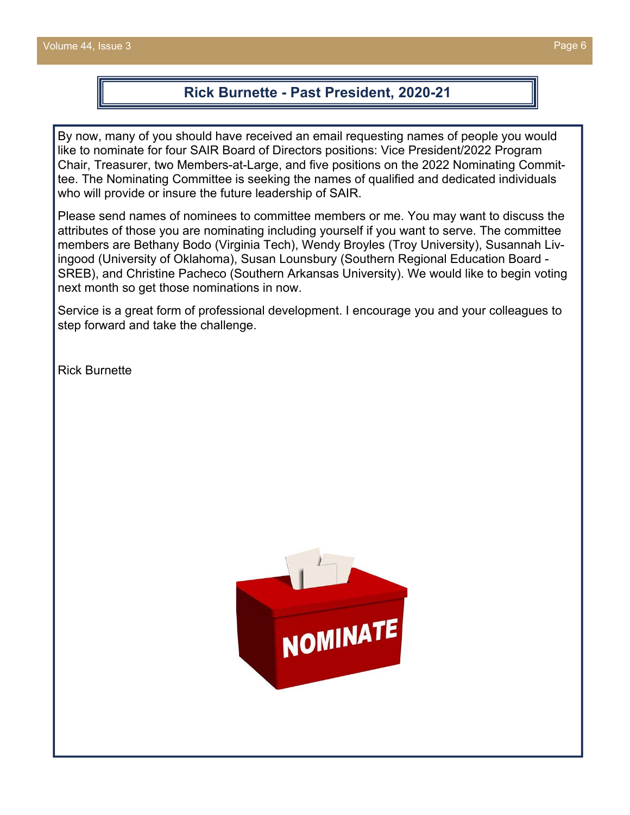## **Rick Burnette - Past President, 2020-21**

By now, many of you should have received an email requesting names of people you would like to nominate for four SAIR Board of Directors positions: Vice President/2022 Program Chair, Treasurer, two Members-at-Large, and five positions on the 2022 Nominating Committee. The Nominating Committee is seeking the names of qualified and dedicated individuals who will provide or insure the future leadership of SAIR.

Please send names of nominees to committee members or me. You may want to discuss the attributes of those you are nominating including yourself if you want to serve. The committee members are Bethany Bodo (Virginia Tech), Wendy Broyles (Troy University), Susannah Livingood (University of Oklahoma), Susan Lounsbury (Southern Regional Education Board - SREB), and Christine Pacheco (Southern Arkansas University). We would like to begin voting next month so get those nominations in now.

Service is a great form of professional development. I encourage you and your colleagues to step forward and take the challenge.

Rick Burnette

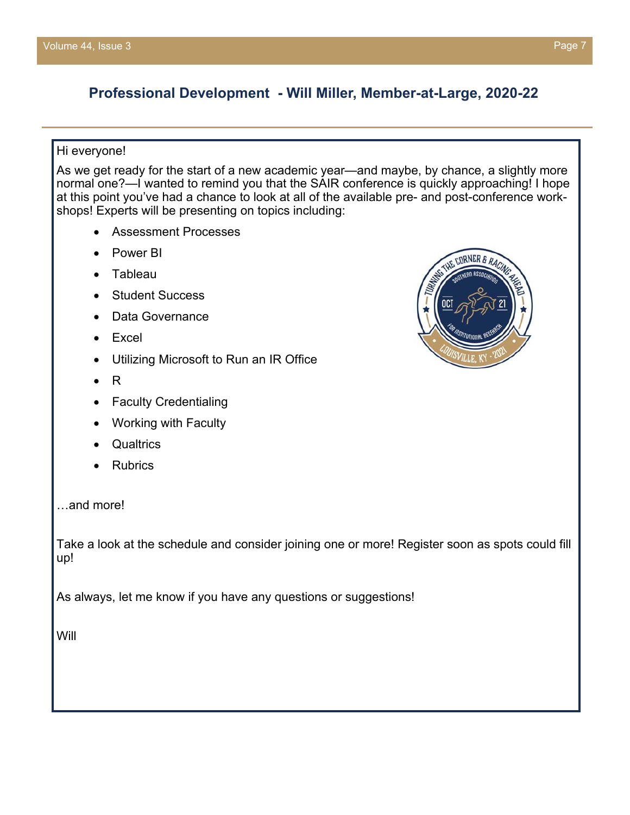# **Professional Development - Will Miller, Member-at-Large, 2020-22**

#### Hi everyone!

As we get ready for the start of a new academic year—and maybe, by chance, a slightly more normal one?—I wanted to remind you that the SAIR conference is quickly approaching! I hope at this point you've had a chance to look at all of the available pre- and post-conference workshops! Experts will be presenting on topics including:

- Assessment Processes
- Power BI
- Tableau
- Student Success
- Data Governance
- Excel
- Utilizing Microsoft to Run an IR Office
- R
- Faculty Credentialing
- Working with Faculty
- **Qualtrics**
- Rubrics
- …and more!

Take a look at the schedule and consider joining one or more! Register soon as spots could fill up!

As always, let me know if you have any questions or suggestions!

Will

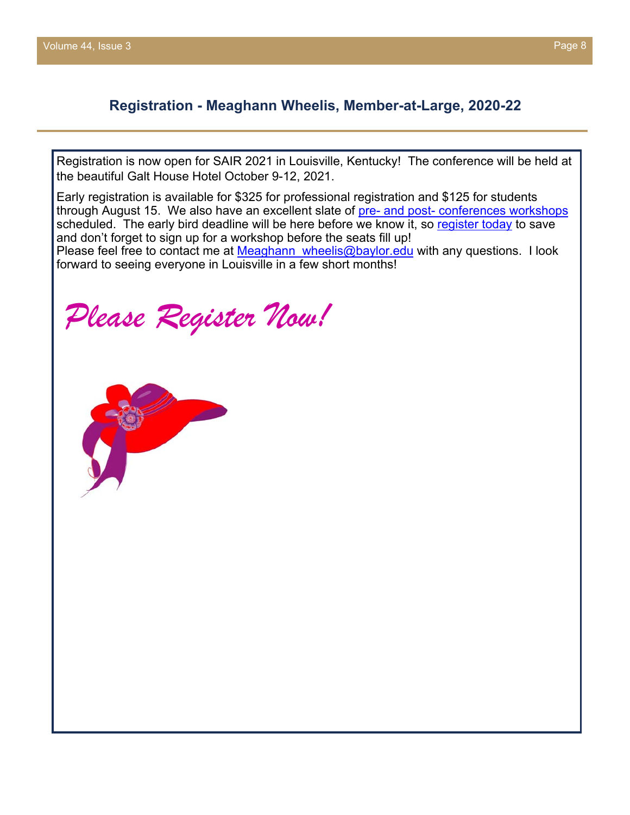## **Registration - Meaghann Wheelis, Member-at-Large, 2020-22**

Registration is now open for SAIR 2021 in Louisville, Kentucky! The conference will be held at the beautiful Galt House Hotel October 9-12, 2021.

Early registration is available for \$325 for professional registration and \$125 for students through August 15. We also have an excellent slate of pre- and post- conferences workshops scheduled. The early bird deadline will be here before we know it, so register today to save and don't forget to sign up for a workshop before the seats fill up! Please feel free to contact me at Meaghann wheelis@baylor.edu with any questions. I look forward to seeing everyone in Louisville in a few short months!

*Please Register Now!* 

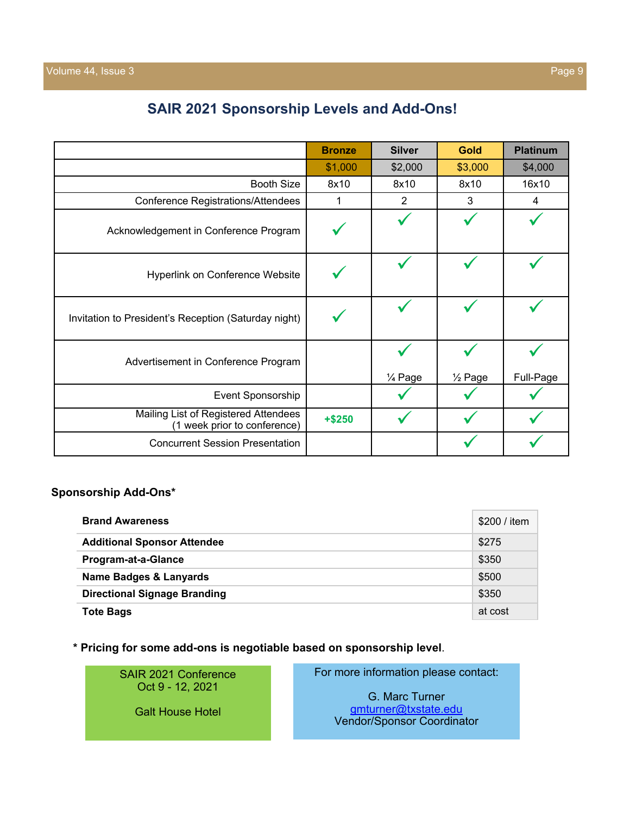# **SAIR 2021 Sponsorship Levels and Add-Ons!**

|                                                                      | <b>Bronze</b> | <b>Silver</b> | <b>Gold</b>        | <b>Platinum</b> |
|----------------------------------------------------------------------|---------------|---------------|--------------------|-----------------|
|                                                                      | \$1,000       | \$2,000       | \$3,000            | \$4,000         |
| <b>Booth Size</b>                                                    | 8x10          | 8x10          | 8x10               | 16x10           |
| <b>Conference Registrations/Attendees</b>                            | 1             | 2             | 3                  | 4               |
| Acknowledgement in Conference Program                                |               |               |                    |                 |
| Hyperlink on Conference Website                                      |               |               |                    |                 |
| Invitation to President's Reception (Saturday night)                 |               |               |                    |                 |
| Advertisement in Conference Program                                  |               | 1/4 Page      | $\frac{1}{2}$ Page | Full-Page       |
| Event Sponsorship                                                    |               |               |                    |                 |
| Mailing List of Registered Attendees<br>(1 week prior to conference) | $+ $250$      |               |                    |                 |
| <b>Concurrent Session Presentation</b>                               |               |               |                    |                 |

#### **Sponsorship Add-Ons\***

| <b>Brand Awareness</b>              | \$200 / item |
|-------------------------------------|--------------|
| <b>Additional Sponsor Attendee</b>  | \$275        |
| Program-at-a-Glance                 | \$350        |
| Name Badges & Lanyards              | \$500        |
| <b>Directional Signage Branding</b> | \$350        |
| <b>Tote Bags</b>                    | at cost      |

**\* Pricing for some add-ons is negotiable based on sponsorship level**.

SAIR 2021 Conference Oct 9 - 12, 2021

Galt House Hotel

For more information please contact:

G. Marc Turner gmturner@txstate.edu Vendor/Sponsor Coordinator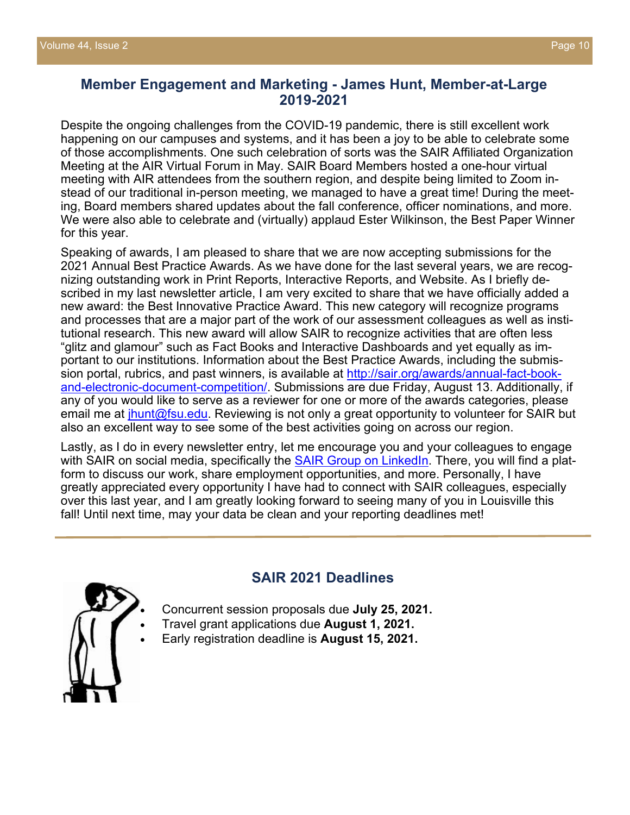## **Member Engagement and Marketing - James Hunt, Member-at-Large 2019-2021**

Despite the ongoing challenges from the COVID-19 pandemic, there is still excellent work happening on our campuses and systems, and it has been a joy to be able to celebrate some of those accomplishments. One such celebration of sorts was the SAIR Affiliated Organization Meeting at the AIR Virtual Forum in May. SAIR Board Members hosted a one-hour virtual meeting with AIR attendees from the southern region, and despite being limited to Zoom instead of our traditional in-person meeting, we managed to have a great time! During the meeting, Board members shared updates about the fall conference, officer nominations, and more. We were also able to celebrate and (virtually) applaud Ester Wilkinson, the Best Paper Winner for this year.

Speaking of awards, I am pleased to share that we are now accepting submissions for the 2021 Annual Best Practice Awards. As we have done for the last several years, we are recognizing outstanding work in Print Reports, Interactive Reports, and Website. As I briefly described in my last newsletter article, I am very excited to share that we have officially added a new award: the Best Innovative Practice Award. This new category will recognize programs and processes that are a major part of the work of our assessment colleagues as well as institutional research. This new award will allow SAIR to recognize activities that are often less "glitz and glamour" such as Fact Books and Interactive Dashboards and yet equally as important to our institutions. Information about the Best Practice Awards, including the submission portal, rubrics, and past winners, is available at http://sair.org/awards/annual-fact-bookand-electronic-document-competition/. Submissions are due Friday, August 13. Additionally, if any of you would like to serve as a reviewer for one or more of the awards categories, please email me at *jhunt@fsu.edu.* Reviewing is not only a great opportunity to volunteer for SAIR but also an excellent way to see some of the best activities going on across our region.

Lastly, as I do in every newsletter entry, let me encourage you and your colleagues to engage with SAIR on social media, specifically the SAIR Group on LinkedIn. There, you will find a platform to discuss our work, share employment opportunities, and more. Personally, I have greatly appreciated every opportunity I have had to connect with SAIR colleagues, especially over this last year, and I am greatly looking forward to seeing many of you in Louisville this fall! Until next time, may your data be clean and your reporting deadlines met!



## **SAIR 2021 Deadlines**

- Concurrent session proposals due **July 25, 2021.**
- Travel grant applications due **August 1, 2021.**
- Early registration deadline is **August 15, 2021.**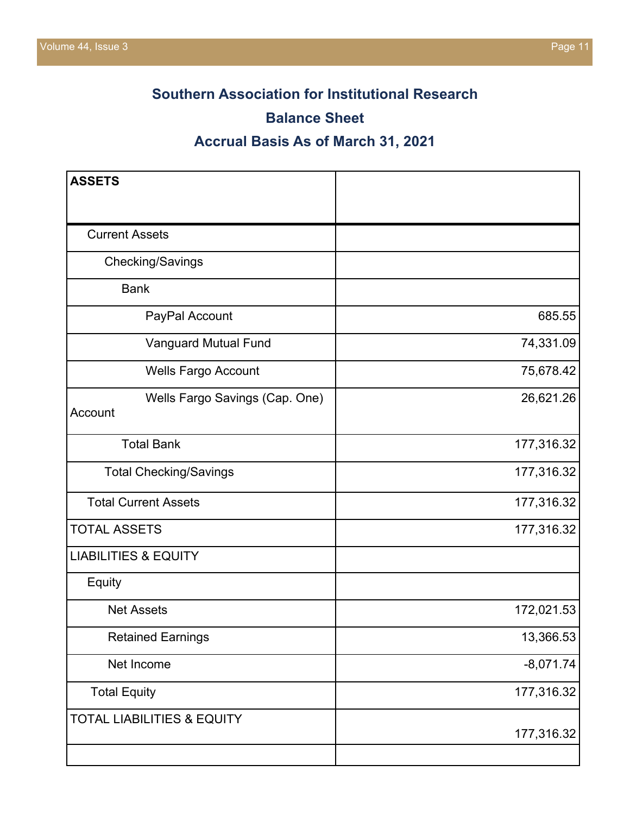# **Southern Association for Institutional Research**

## **Balance Sheet**

# **Accrual Basis As of March 31, 2021**

| <b>ASSETS</b>                             |             |
|-------------------------------------------|-------------|
|                                           |             |
| <b>Current Assets</b>                     |             |
| Checking/Savings                          |             |
| <b>Bank</b>                               |             |
| PayPal Account                            | 685.55      |
| Vanguard Mutual Fund                      | 74,331.09   |
| <b>Wells Fargo Account</b>                | 75,678.42   |
| Wells Fargo Savings (Cap. One)<br>Account | 26,621.26   |
| <b>Total Bank</b>                         | 177,316.32  |
| <b>Total Checking/Savings</b>             | 177,316.32  |
| <b>Total Current Assets</b>               | 177,316.32  |
| <b>TOTAL ASSETS</b>                       | 177,316.32  |
| <b>LIABILITIES &amp; EQUITY</b>           |             |
| Equity                                    |             |
| <b>Net Assets</b>                         | 172,021.53  |
| <b>Retained Earnings</b>                  | 13,366.53   |
| Net Income                                | $-8,071.74$ |
| <b>Total Equity</b>                       | 177,316.32  |
| <b>TOTAL LIABILITIES &amp; EQUITY</b>     | 177,316.32  |
|                                           |             |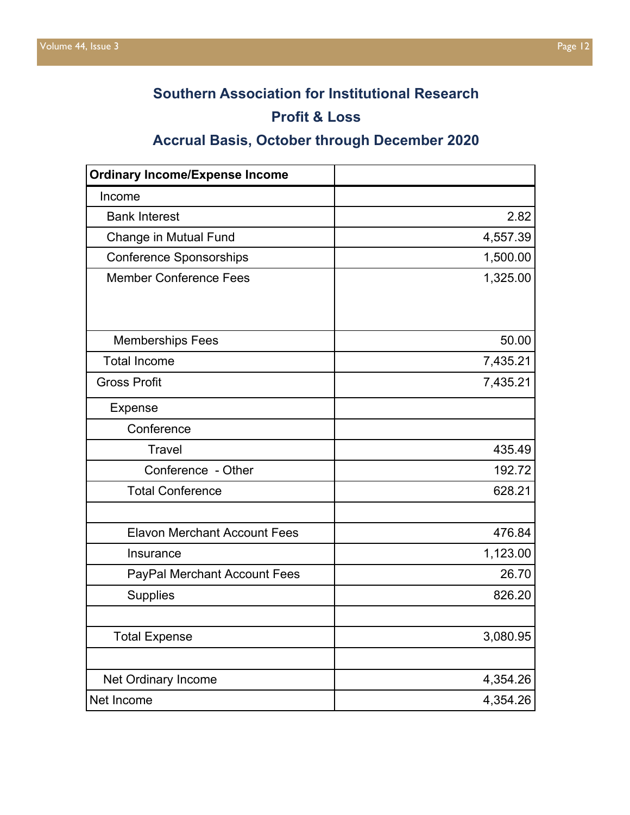# **Southern Association for Institutional Research**

# **Profit & Loss**

# **Accrual Basis, October through December 2020**

| <b>Ordinary Income/Expense Income</b> |          |
|---------------------------------------|----------|
| Income                                |          |
| <b>Bank Interest</b>                  | 2.82     |
| <b>Change in Mutual Fund</b>          | 4,557.39 |
| <b>Conference Sponsorships</b>        | 1,500.00 |
| <b>Member Conference Fees</b>         | 1,325.00 |
|                                       |          |
| <b>Memberships Fees</b>               | 50.00    |
| <b>Total Income</b>                   | 7,435.21 |
| <b>Gross Profit</b>                   | 7,435.21 |
| <b>Expense</b>                        |          |
| Conference                            |          |
| <b>Travel</b>                         | 435.49   |
| Conference - Other                    | 192.72   |
| <b>Total Conference</b>               | 628.21   |
|                                       |          |
| <b>Elavon Merchant Account Fees</b>   | 476.84   |
| Insurance                             | 1,123.00 |
| <b>PayPal Merchant Account Fees</b>   | 26.70    |
| <b>Supplies</b>                       | 826.20   |
|                                       |          |
| <b>Total Expense</b>                  | 3,080.95 |
|                                       |          |
| Net Ordinary Income                   | 4,354.26 |
| Net Income                            | 4,354.26 |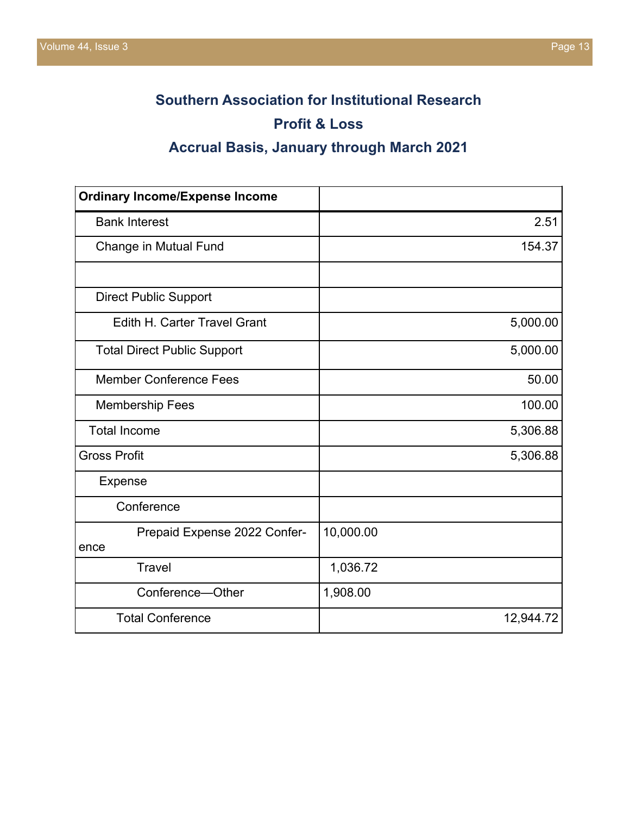# **Southern Association for Institutional Research Profit & Loss**

# **Accrual Basis, January through March 2021**

| <b>Ordinary Income/Expense Income</b> |           |
|---------------------------------------|-----------|
| <b>Bank Interest</b>                  | 2.51      |
| Change in Mutual Fund                 | 154.37    |
|                                       |           |
| <b>Direct Public Support</b>          |           |
| <b>Edith H. Carter Travel Grant</b>   | 5,000.00  |
| <b>Total Direct Public Support</b>    | 5,000.00  |
| <b>Member Conference Fees</b>         | 50.00     |
| <b>Membership Fees</b>                | 100.00    |
| <b>Total Income</b>                   | 5,306.88  |
| <b>Gross Profit</b>                   | 5,306.88  |
| <b>Expense</b>                        |           |
| Conference                            |           |
| Prepaid Expense 2022 Confer-<br>ence  | 10,000.00 |
| <b>Travel</b>                         | 1,036.72  |
| Conference-Other                      | 1,908.00  |
| <b>Total Conference</b>               | 12,944.72 |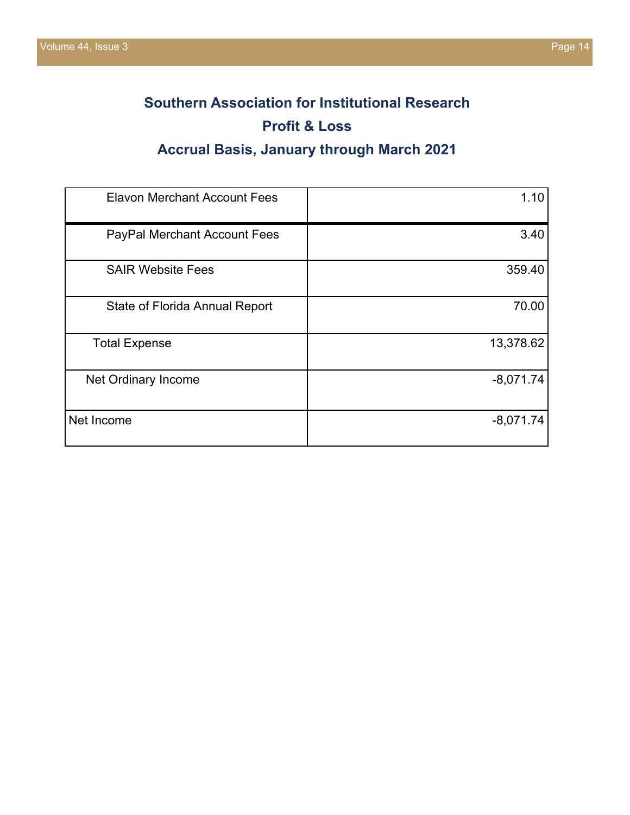# **Southern Association for Institutional Research Profit & Loss**

# **Accrual Basis, January through March 2021**

| <b>Elavon Merchant Account Fees</b>   | 1.10        |
|---------------------------------------|-------------|
| PayPal Merchant Account Fees          | 3.40        |
| <b>SAIR Website Fees</b>              | 359.40      |
| <b>State of Florida Annual Report</b> | 70.00       |
| <b>Total Expense</b>                  | 13,378.62   |
| Net Ordinary Income                   | $-8,071.74$ |
| Net Income                            | $-8,071.74$ |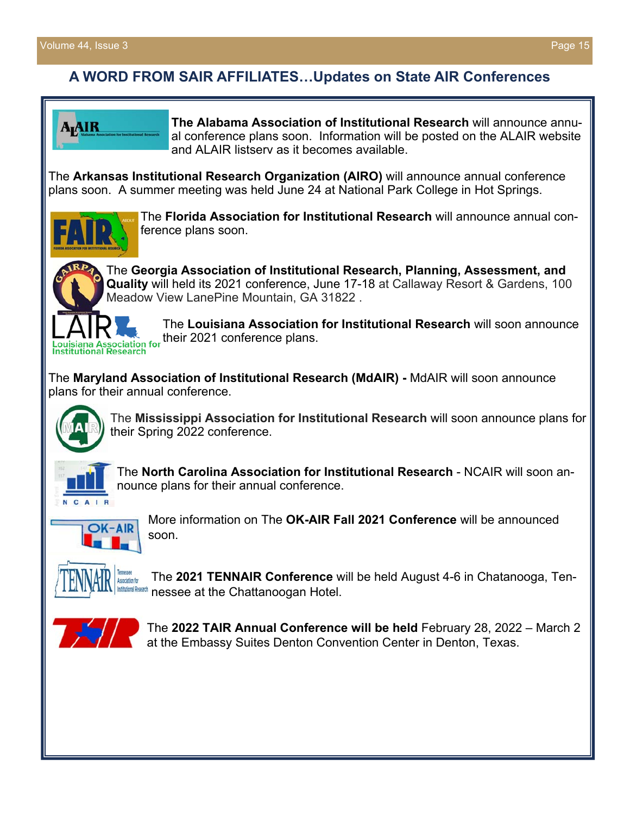## **A WORD FROM SAIR AFFILIATES…Updates on State AIR Conferences**



**The Alabama Association of Institutional Research** will announce annual conference plans soon. Information will be posted on the ALAIR website and ALAIR listsery as it becomes available

The **Arkansas Institutional Research Organization (AIRO)** will announce annual conference plans soon. A summer meeting was held June 24 at National Park College in Hot Springs.



The **Florida Association for Institutional Research** will announce annual conference plans soon.



**Quality** will held its 2021 conference, June 17-18 at Callaway Resort & Gardens, 100 Meadow View LanePine Mountain, GA 31822 .

The **Louisiana Association for Institutional Research** will soon announce their 2021 conference plans.

The **Maryland Association of Institutional Research (MdAIR) -** MdAIR will soon announce plans for their annual conference.



The **Mississippi Association for Institutional Research** will soon announce plans for their Spring 2022 conference.



The **North Carolina Association for Institutional Research** - NCAIR will soon announce plans for their annual conference.



More information on The **OK-AIR Fall 2021 Conference** will be announced soon.



The **2021 TENNAIR Conference** will be held August 4-6 in Chatanooga, Tennessee at the Chattanoogan Hotel.



The **2022 TAIR Annual Conference will be held** February 28, 2022 – March 2 at the Embassy Suites Denton Convention Center in Denton, Texas.